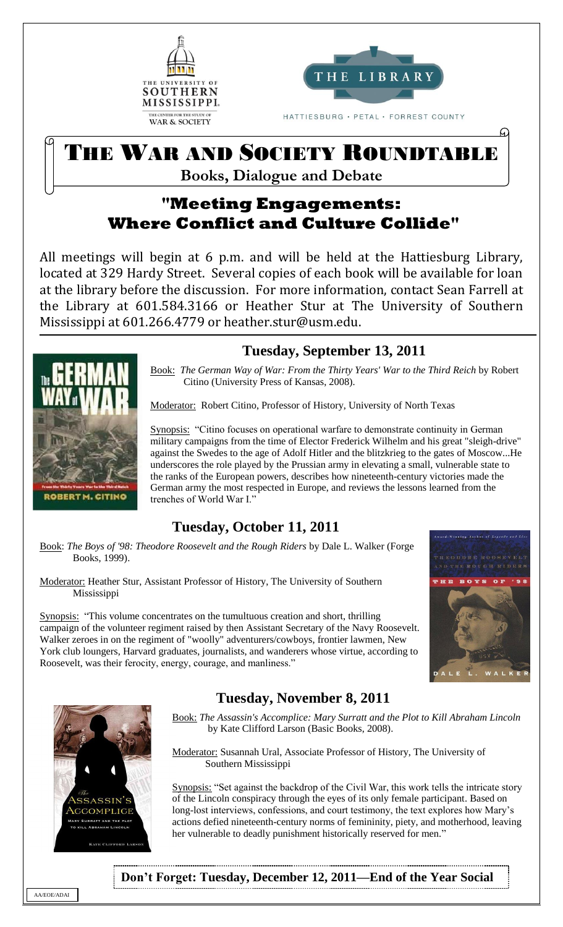



HATTIESBURG · PETAL · FORREST COUNTY

# THE WAR AND SOCIETY ROUNDTABLE

**Books, Dialogue and Debate**

# **"Meeting Engagements: Where Conflict and Culture Collide"**

All meetings will begin at 6 p.m. and will be held at the Hattiesburg Library, located at 329 Hardy Street. Several copies of each book will be available for loan at the library before the discussion. For more information, contact Sean Farrell at the Library at 601.584.3166 or Heather Stur at The University of Southern Mississippi at 601.266.4779 or heather.stur@usm.edu.  $\overline{a}$ 

# **Tuesday, September 13, 2011**

Book: *The German Way of War: From the Thirty Years' War to the Third Reich* by Robert Citino (University Press of Kansas, 2008).

Moderator: Robert Citino, Professor of History, University of North Texas

Synopsis: "Citino focuses on operational warfare to demonstrate continuity in German military campaigns from the time of Elector Frederick Wilhelm and his great "sleigh-drive" against the Swedes to the age of Adolf Hitler and the blitzkrieg to the gates of Moscow...He underscores the role played by the Prussian army in elevating a small, vulnerable state to the ranks of the European powers, describes how nineteenth-century victories made the German army the most respected in Europe, and reviews the lessons learned from the trenches of World War I."

#### **Tuesday, October 11, 2011**

Book: *The Boys of '98: Theodore Roosevelt and the Rough Riders* by Dale L. Walker (Forge Books, 1999).

Moderator: Heather Stur, Assistant Professor of History, The University of Southern Mississippi

Synopsis: "This volume concentrates on the tumultuous creation and short, thrilling campaign of the volunteer regiment raised by then Assistant Secretary of the Navy Roosevelt. Walker zeroes in on the regiment of "woolly" adventurers/cowboys, frontier lawmen, New York club loungers, Harvard graduates, journalists, and wanderers whose virtue, according to Roosevelt, was their ferocity, energy, courage, and manliness."





**RERT M. CITING** 

#### **Tuesday, November 8, 2011**

Book: *The Assassin's Accomplice: Mary Surratt and the Plot to Kill Abraham Lincoln* by Kate Clifford Larson (Basic Books, 2008).

Moderator: Susannah Ural, Associate Professor of History, The University of Southern Mississippi

Synopsis: "Set against the backdrop of the Civil War, this work tells the intricate story of the Lincoln conspiracy through the eyes of its only female participant. Based on long-lost interviews, confessions, and court testimony, the text explores how Mary's actions defied nineteenth-century norms of femininity, piety, and motherhood, leaving her vulnerable to deadly punishment historically reserved for men."

**Don't Forget: Tuesday, December 12, 2011—End of the Year Social**

AA/EOE/ADAI